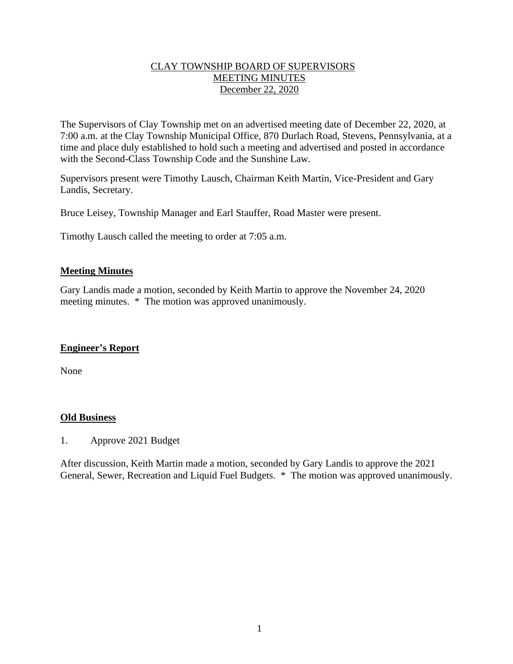### CLAY TOWNSHIP BOARD OF SUPERVISORS MEETING MINUTES December 22, 2020

The Supervisors of Clay Township met on an advertised meeting date of December 22, 2020, at 7:00 a.m. at the Clay Township Municipal Office, 870 Durlach Road, Stevens, Pennsylvania, at a time and place duly established to hold such a meeting and advertised and posted in accordance with the Second-Class Township Code and the Sunshine Law.

Supervisors present were Timothy Lausch, Chairman Keith Martin, Vice-President and Gary Landis, Secretary.

Bruce Leisey, Township Manager and Earl Stauffer, Road Master were present.

Timothy Lausch called the meeting to order at 7:05 a.m.

### **Meeting Minutes**

Gary Landis made a motion, seconded by Keith Martin to approve the November 24, 2020 meeting minutes. \* The motion was approved unanimously.

#### **Engineer's Report**

None

#### **Old Business**

1. Approve 2021 Budget

After discussion, Keith Martin made a motion, seconded by Gary Landis to approve the 2021 General, Sewer, Recreation and Liquid Fuel Budgets. \* The motion was approved unanimously.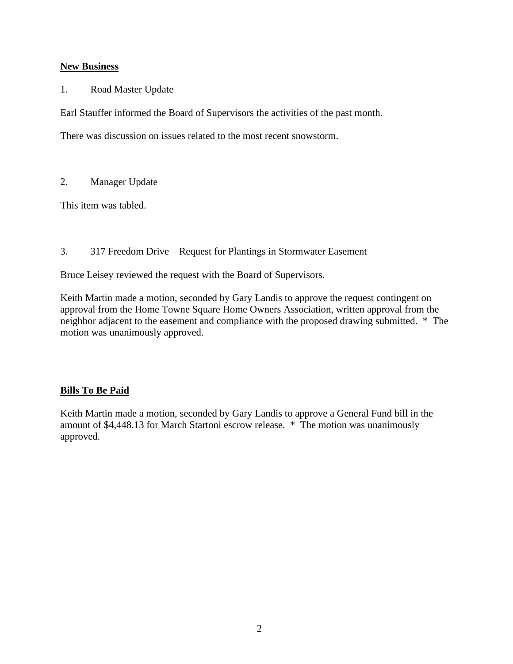## **New Business**

1. Road Master Update

Earl Stauffer informed the Board of Supervisors the activities of the past month.

There was discussion on issues related to the most recent snowstorm.

# 2. Manager Update

This item was tabled.

# 3. 317 Freedom Drive – Request for Plantings in Stormwater Easement

Bruce Leisey reviewed the request with the Board of Supervisors.

Keith Martin made a motion, seconded by Gary Landis to approve the request contingent on approval from the Home Towne Square Home Owners Association, written approval from the neighbor adjacent to the easement and compliance with the proposed drawing submitted. \* The motion was unanimously approved.

# **Bills To Be Paid**

Keith Martin made a motion, seconded by Gary Landis to approve a General Fund bill in the amount of \$4,448.13 for March Startoni escrow release. \* The motion was unanimously approved.